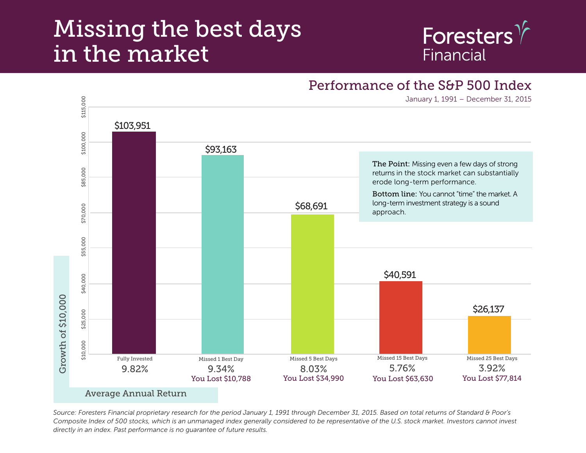## Missing the best days in the market



## Performance of the S&P 500 Index

January 1, 1991 – December 31, 2015



*Source: Foresters Financial proprietary research for the period January 1, 1991 through December 31, 2015. Based on total returns of Standard & Poor's*  Composite Index of 500 stocks, which is an unmanaged index generally considered to be representative of the U.S. stock market. Investors cannot invest *directly in an index. Past performance is no guarantee of future results.*